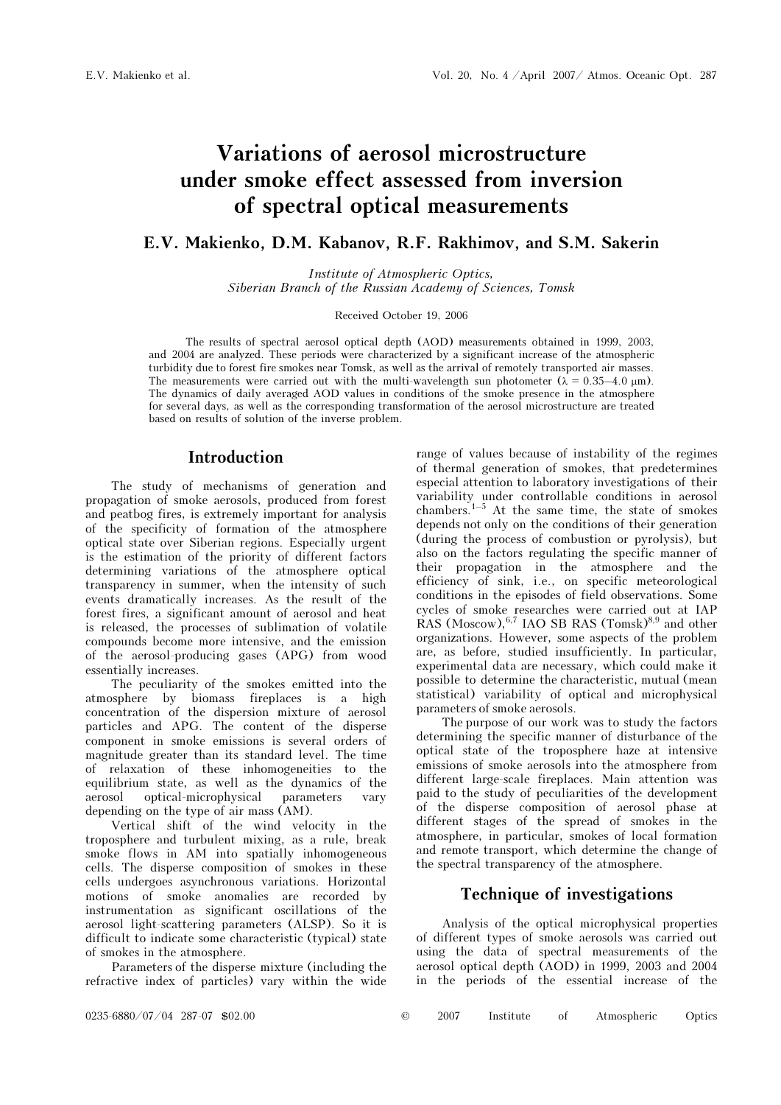# Variations of aerosol microstructure under smoke effect assessed from inversion of spectral optical measurements

E.V. Makienko, D.M. Kabanov, R.F. Rakhimov, and S.M. Sakerin

Institute of Atmospheric Optics, Siberian Branch of the Russian Academy of Sciences, Tomsk

Received October 19, 2006

The results of spectral aerosol optical depth (AOD) measurements obtained in 1999, 2003, and 2004 are analyzed. These periods were characterized by a significant increase of the atmospheric turbidity due to forest fire smokes near Tomsk, as well as the arrival of remotely transported air masses. The measurements were carried out with the multi-wavelength sun photometer  $(\lambda = 0.35-4.0 \,\mu m)$ . The dynamics of daily averaged AOD values in conditions of the smoke presence in the atmosphere for several days, as well as the corresponding transformation of the aerosol microstructure are treated based on results of solution of the inverse problem.

## Introduction

The study of mechanisms of generation and propagation of smoke aerosols, produced from forest and peatbog fires, is extremely important for analysis of the specificity of formation of the atmosphere optical state over Siberian regions. Especially urgent is the estimation of the priority of different factors determining variations of the atmosphere optical transparency in summer, when the intensity of such events dramatically increases. As the result of the forest fires, a significant amount of aerosol and heat is released, the processes of sublimation of volatile compounds become more intensive, and the emission of the aerosol-producing gases (APG) from wood essentially increases.

The peculiarity of the smokes emitted into the atmosphere by biomass fireplaces is a high concentration of the dispersion mixture of aerosol particles and APG. The content of the disperse component in smoke emissions is several orders of magnitude greater than its standard level. The time of relaxation of these inhomogeneities to the equilibrium state, as well as the dynamics of the aerosol optical-microphysical parameters vary depending on the type of air mass (AM).

Vertical shift of the wind velocity in the troposphere and turbulent mixing, as a rule, break smoke flows in AM into spatially inhomogeneous cells. The disperse composition of smokes in these cells undergoes asynchronous variations. Horizontal motions of smoke anomalies are recorded by instrumentation as significant oscillations of the aerosol light-scattering parameters (ALSP). So it is difficult to indicate some characteristic (typical) state of smokes in the atmosphere.

Parameters of the disperse mixture (including the refractive index of particles) vary within the wide

range of values because of instability of the regimes of thermal generation of smokes, that predetermines especial attention to laboratory investigations of their variability under controllable conditions in aerosol chambers.<sup>1–5</sup> At the same time, the state of smokes depends not only on the conditions of their generation (during the process of combustion or pyrolysis), but also on the factors regulating the specific manner of their propagation in the atmosphere and the efficiency of sink, i.e., on specific meteorological conditions in the episodes of field observations. Some cycles of smoke researches were carried out at IAP RAS (Moscow), <sup>6,7</sup> IAO SB RAS (Tomsk)<sup>8,9</sup> and other organizations. However, some aspects of the problem are, as before, studied insufficiently. In particular, experimental data are necessary, which could make it possible to determine the characteristic, mutual (mean statistical) variability of optical and microphysical parameters of smoke aerosols.

The purpose of our work was to study the factors determining the specific manner of disturbance of the optical state of the troposphere haze at intensive emissions of smoke aerosols into the atmosphere from different large-scale fireplaces. Main attention was paid to the study of peculiarities of the development of the disperse composition of aerosol phase at different stages of the spread of smokes in the atmosphere, in particular, smokes of local formation and remote transport, which determine the change of the spectral transparency of the atmosphere.

## Technique of investigations

Analysis of the optical microphysical properties of different types of smoke aerosols was carried out using the data of spectral measurements of the aerosol optical depth (AOD) in 1999, 2003 and 2004 in the periods of the essential increase of the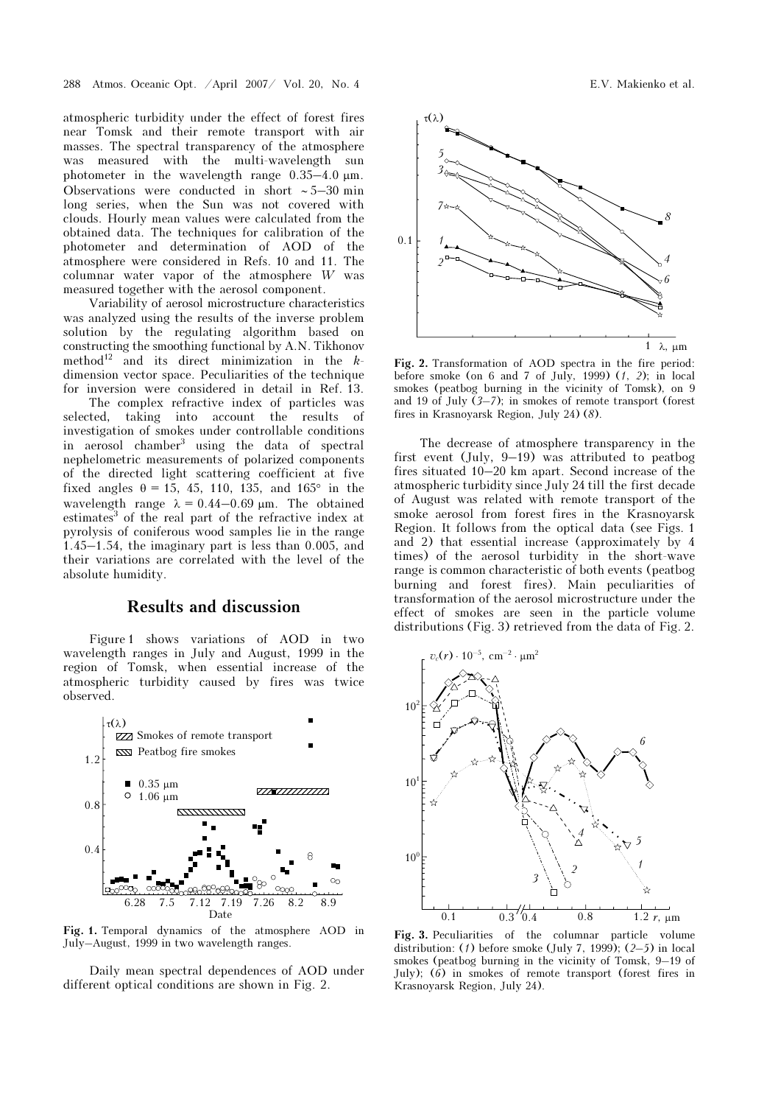atmospheric turbidity under the effect of forest fires near Tomsk and their remote transport with air masses. The spectral transparency of the atmosphere was measured with the multi-wavelength sun photometer in the wavelength range 0.35–4.0 μm. Observations were conducted in short ∼ 5–30 min long series, when the Sun was not covered with clouds. Hourly mean values were calculated from the obtained data. The techniques for calibration of the photometer and determination of AOD of the atmosphere were considered in Refs. 10 and 11. The columnar water vapor of the atmosphere W was measured together with the aerosol component.

Variability of aerosol microstructure characteristics was analyzed using the results of the inverse problem solution by the regulating algorithm based on constructing the smoothing functional by A.N. Tikhonov method<sup>12</sup> and its direct minimization in the  $k$ dimension vector space. Peculiarities of the technique for inversion were considered in detail in Ref. 13.

 The complex refractive index of particles was selected, taking into account the results of investigation of smokes under controllable conditions in aerosol chamber<sup>3</sup> using the data of spectral nephelometric measurements of polarized components of the directed light scattering coefficient at five fixed angles  $\theta = 15$ , 45, 110, 135, and 165° in the wavelength range  $\lambda = 0.44 - 0.69$  μm. The obtained estimates<sup>3</sup> of the real part of the refractive index at pyrolysis of coniferous wood samples lie in the range 1.45–1.54, the imaginary part is less than 0.005, and their variations are correlated with the level of the absolute humidity.

### Results and discussion

Figure 1 shows variations of AOD in two wavelength ranges in July and August, 1999 in the region of Tomsk, when essential increase of the atmospheric turbidity caused by fires was twice observed.



Fig. 1. Temporal dynamics of the atmosphere AOD in  $\text{Iulv}$ -August 1999 in two wavelength ranges July–August, 1999 in two wavelength ranges.

Daily mean spectral dependences of AOD under different optical conditions are shown in Fig. 2.



Fig. 2. Transformation of AOD spectra in the fire period: before smoke (on 6 and 7 of July, 1999)  $(1, 2)$ ; in local smokes (peatbog burning in the vicinity of Tomsk), on 9 and 19 of July (3–7); in smokes of remote transport (forest fires in Krasnoyarsk Region, July 24) (8).

The decrease of atmosphere transparency in the first event (July, 9–19) was attributed to peatbog fires situated 10–20 km apart. Second increase of the atmospheric turbidity since July 24 till the first decade of August was related with remote transport of the smoke aerosol from forest fires in the Krasnoyarsk Region. It follows from the optical data (see Figs. 1 and 2) that essential increase (approximately by 4 times) of the aerosol turbidity in the short-wave range is common characteristic of both events (peatbog burning and forest fires). Main peculiarities of transformation of the aerosol microstructure under the effect of smokes are seen in the particle volume distributions (Fig. 3) retrieved from the data of Fig. 2.



Fig. 3. Peculiarities of the columnar particle volume distribution: (1) before smoke (July 7, 1999);  $(2-5)$  in local smokes (peatbog burning in the vicinity of Tomsk, 9–19 of July); (6) in smokes of remote transport (forest fires in Krasnoyarsk Region, July 24).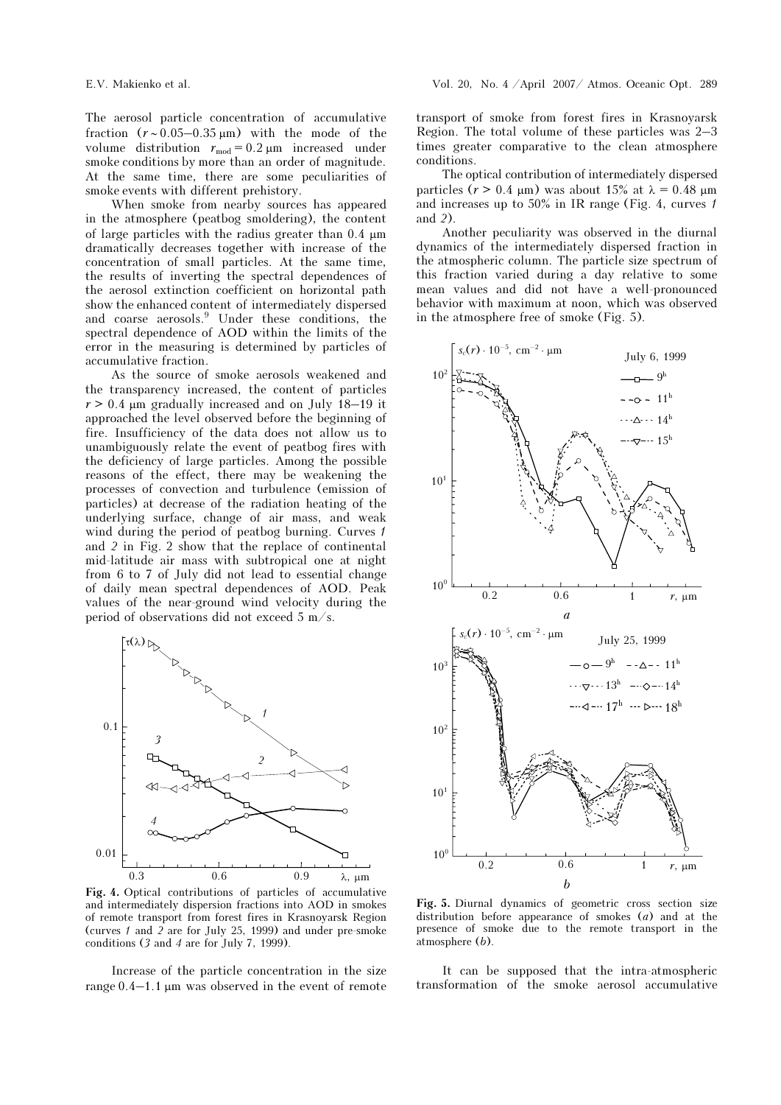The aerosol particle concentration of accumulative fraction  $(r \sim 0.05-0.35 \,\mu\text{m})$  with the mode of the volume distribution  $r_{mod} = 0.2 \,\mu m$  increased under smoke conditions by more than an order of magnitude. At the same time, there are some peculiarities of smoke events with different prehistory.

When smoke from nearby sources has appeared in the atmosphere (peatbog smoldering), the content of large particles with the radius greater than 0.4 μm dramatically decreases together with increase of the concentration of small particles. At the same time, the results of inverting the spectral dependences of the aerosol extinction coefficient on horizontal path show the enhanced content of intermediately dispersed and coarse aerosols.<sup>9</sup> Under these conditions, the spectral dependence of AOD within the limits of the error in the measuring is determined by particles of accumulative fraction.

As the source of smoke aerosols weakened and the transparency increased, the content of particles  $r > 0.4$  µm gradually increased and on July 18–19 it approached the level observed before the beginning of fire. Insufficiency of the data does not allow us to unambiguously relate the event of peatbog fires with the deficiency of large particles. Among the possible reasons of the effect, there may be weakening the processes of convection and turbulence (emission of particles) at decrease of the radiation heating of the underlying surface, change of air mass, and weak wind during the period of peatbog burning. Curves 1 and 2 in Fig. 2 show that the replace of continental mid-latitude air mass with subtropical one at night from 6 to 7 of July did not lead to essential change of daily mean spectral dependences of AOD. Peak values of the near-ground wind velocity during the period of observations did not exceed 5 m/s.



Fig. 4. Optical contributions of particles of accumulative and intermediately dispersion fractions into AOD in smokes of remote transport from forest fires in Krasnoyarsk Region (curves 1 and 2 are for July 25, 1999) and under pre-smoke conditions (3 and 4 are for July 7, 1999).

Increase of the particle concentration in the size range 0.4–1.1 μm was observed in the event of remote transport of smoke from forest fires in Krasnoyarsk Region. The total volume of these particles was 2–3 times greater comparative to the clean atmosphere conditions.

The optical contribution of intermediately dispersed particles ( $r > 0.4$  μm) was about 15% at  $\lambda = 0.48$  μm and increases up to 50% in IR range (Fig. 4, curves 1 and 2).

Another peculiarity was observed in the diurnal dynamics of the intermediately dispersed fraction in the atmospheric column. The particle size spectrum of this fraction varied during a day relative to some mean values and did not have a well-pronounced behavior with maximum at noon, which was observed in the atmosphere free of smoke (Fig. 5).



Fig. 5. Diurnal dynamics of geometric cross section size distribution before appearance of smokes (a) and at the presence of smoke due to the remote transport in the atmosphere (b).

It can be supposed that the intra-atmospheric transformation of the smoke aerosol accumulative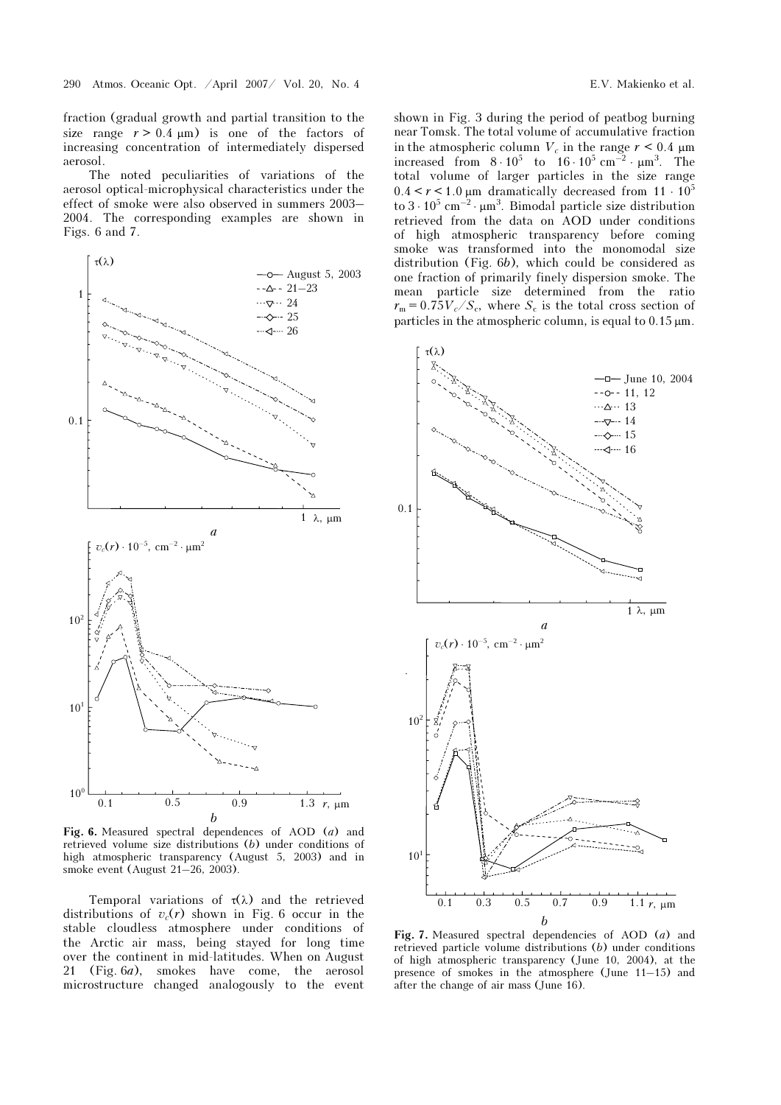fraction (gradual growth and partial transition to the size range  $r > 0.4 \mu m$ ) is one of the factors of increasing concentration of intermediately dispersed aerosol.

The noted peculiarities of variations of the aerosol optical-microphysical characteristics under the effect of smoke were also observed in summers 2003– 2004. The corresponding examples are shown in Figs. 6 and 7.



Fig. 6. Measured spectral dependences of AOD (a) and retrieved volume size distributions (b) under conditions of high atmospheric transparency (August 5, 2003) and in smoke event (August 21–26, 2003).

Temporal variations of τ(λ) and the retrieved distributions of  $v_c(r)$  shown in Fig. 6 occur in the stable cloudless atmosphere under conditions of the Arctic air mass, being stayed for long time over the continent in mid-latitudes. When on August 21 (Fig. 6a), smokes have come, the aerosol microstructure changed analogously to the event

shown in Fig. 3 during the period of peatbog burning near Tomsk. The total volume of accumulative fraction in the atmospheric column  $V_c$  in the range  $r < 0.4 \mu m$ increased from  $8 \cdot 10^5$  to  $16 \cdot 10^5$  cm<sup>-2</sup> ·  $\mu$ m<sup>3</sup>. The total volume of larger particles in the size range  $0.4 \le r \le 1.0$  µm dramatically decreased from  $11 \cdot 10^5$ to  $3 \cdot 10^5$  cm<sup>-2</sup> ·  $\mu$ m<sup>3</sup>. Bimodal particle size distribution retrieved from the data on AOD under conditions of high atmospheric transparency before coming smoke was transformed into the monomodal size distribution (Fig. 6b), which could be considered as one fraction of primarily finely dispersion smoke. The mean particle size determined from the ratio  $r_m = 0.75 V_c/S_c$ , where  $S_c$  is the total cross section of particles in the atmospheric column, is equal to 0.15 μm.



Fig. 7. Measured spectral dependencies of AOD (a) and retrieved particle volume distributions (b) under conditions of high atmospheric transparency (June 10, 2004), at the presence of smokes in the atmosphere (June 11–15) and after the change of air mass (June 16).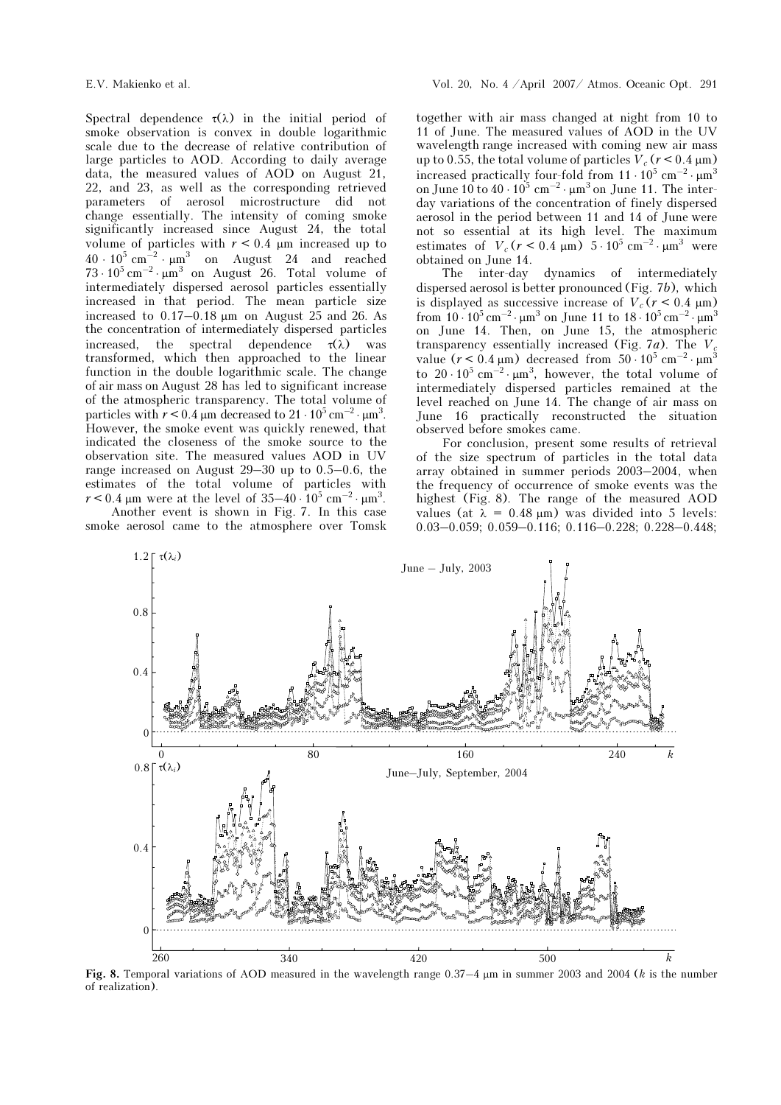Spectral dependence  $\tau(\lambda)$  in the initial period of smoke observation is convex in double logarithmic scale due to the decrease of relative contribution of large particles to AOD. According to daily average data, the measured values of AOD on August 21, 22, and 23, as well as the corresponding retrieved parameters of aerosol microstructure did not change essentially. The intensity of coming smoke significantly increased since August 24, the total volume of particles with  $r < 0.4$  µm increased up to  $40 \cdot 10^5$  cm<sup>-2</sup> ·  $\mu$ m<sup>3</sup> on August 24 and reached  $73 \cdot 10^5 \text{ cm}^{-2} \cdot \mu \text{m}^3$  on August 26. Total volume of intermediately dispersed aerosol particles essentially increased in that period. The mean particle size increased to  $0.17-0.18 \mu m$  on August 25 and 26. As the concentration of intermediately dispersed particles increased, the spectral dependence  $\tau(\lambda)$  was transformed, which then approached to the linear function in the double logarithmic scale. The change of air mass on August 28 has led to significant increase of the atmospheric transparency. The total volume of particles with  $r < 0.4$  µm decreased to  $21 \cdot 10^5$  cm<sup>-2</sup> ⋅ µm<sup>3</sup>. However, the smoke event was quickly renewed, that indicated the closeness of the smoke source to the observation site. The measured values AOD in UV range increased on August 29–30 up to 0.5–0.6, the estimates of the total volume of particles with  $r < 0.4$  µm were at the level of 35–40  $\cdot 10^5$  cm<sup>-2</sup> · µm<sup>3</sup>.

 Another event is shown in Fig. 7. In this case smoke aerosol came to the atmosphere over Tomsk together with air mass changed at night from 10 to 11 of June. The measured values of AOD in the UV wavelength range increased with coming new air mass up to 0.55, the total volume of particles  $V_c$  ( $r < 0.4 \mu m$ ) increased practically four-fold from  $11 \cdot 10^5$  cm<sup>-2</sup>  $\cdot \mu$ m<sup>3</sup> on June 10 to 40  $\cdot$  10<sup>5</sup> cm<sup>-2</sup>  $\cdot$  µm<sup>3</sup> on June 11. The interday variations of the concentration of finely dispersed aerosol in the period between 11 and 14 of June were not so essential at its high level. The maximum estimates of  $V_c$  ( $r < 0.4 \text{ µm}$ )  $5 \cdot 10^5 \text{ cm}^{-2} \cdot \text{µm}^3$  were obtained on June 14.

The inter-day dynamics of intermediately dispersed aerosol is better pronounced (Fig. 7b), which is displayed as successive increase of  $V_c$  ( $r < 0.4 \text{ }\mu\text{m}$ ) from  $10 \cdot 10^5$  cm<sup>-2</sup> ⋅  $\mu$ m<sup>3</sup> on June 11 to  $18 \cdot 10^5$  cm<sup>-2</sup> ⋅  $\mu$ m<sup>3</sup> on June 14. Then, on June 15, the atmospheric transparency essentially increased (Fig. 7a). The  $V_c$ value  $(r < 0.4 \,\mathrm{\mu m})$  decreased from  $50 \cdot 10^5 \,\mathrm{cm}^{-2} \cdot \mathrm{\mu m}^3$ to  $20 \cdot 10^5$  cm<sup>-2</sup> ·  $\mu$ m<sup>3</sup>, however, the total volume of intermediately dispersed particles remained at the level reached on June 14. The change of air mass on June 16 practically reconstructed the situation observed before smokes came.

For conclusion, present some results of retrieval of the size spectrum of particles in the total data array obtained in summer periods 2003–2004, when the frequency of occurrence of smoke events was the highest (Fig. 8). The range of the measured AOD values (at  $\lambda = 0.48$  μm) was divided into 5 levels: 0.03–0.059; 0.059–0.116; 0.116–0.228; 0.228–0.448;



Fig. 8. Temporal variations of AOD measured in the wavelength range 0.37–4 μm in summer 2003 and 2004 (k is the number of realization).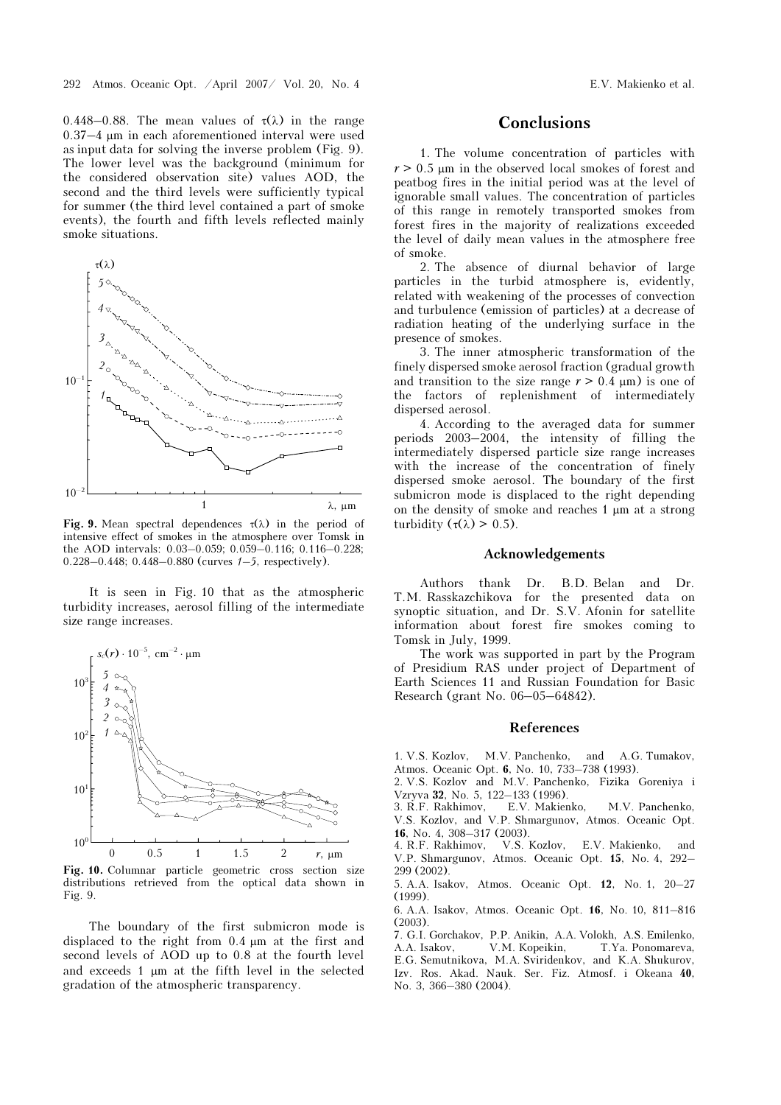0.448–0.88. The mean values of  $\tau(\lambda)$  in the range 0.37–4 μm in each aforementioned interval were used as input data for solving the inverse problem (Fig. 9). The lower level was the background (minimum for the considered observation site) values AOD, the second and the third levels were sufficiently typical for summer (the third level contained a part of smoke events), the fourth and fifth levels reflected mainly smoke situations.



Fig. 9. Mean spectral dependences  $\tau(\lambda)$  in the period of intensive effect of smokes in the atmosphere over Tomsk in the AOD intervals: 0.03–0.059; 0.059–0.116; 0.116–0.228; 0.228–0.448; 0.448–0.880 (curves  $1-5$ , respectively).

It is seen in Fig. 10 that as the atmospheric turbidity increases, aerosol filling of the intermediate size range increases.



Fig. 10. Columnar particle geometric cross section size distributions retrieved from the optical data shown in Fig. 9.

The boundary of the first submicron mode is displaced to the right from 0.4 μm at the first and second levels of AOD up to 0.8 at the fourth level and exceeds 1 μm at the fifth level in the selected gradation of the atmospheric transparency.

## **Conclusions**

1. The volume concentration of particles with  $r > 0.5$  um in the observed local smokes of forest and peatbog fires in the initial period was at the level of ignorable small values. The concentration of particles of this range in remotely transported smokes from forest fires in the majority of realizations exceeded the level of daily mean values in the atmosphere free of smoke.

2. The absence of diurnal behavior of large particles in the turbid atmosphere is, evidently, related with weakening of the processes of convection and turbulence (emission of particles) at a decrease of radiation heating of the underlying surface in the presence of smokes.

3. The inner atmospheric transformation of the finely dispersed smoke aerosol fraction (gradual growth and transition to the size range  $r > 0.4 \mu m$  is one of the factors of replenishment of intermediately dispersed aerosol.

4. According to the averaged data for summer periods 2003–2004, the intensity of filling the intermediately dispersed particle size range increases with the increase of the concentration of finely dispersed smoke aerosol. The boundary of the first submicron mode is displaced to the right depending on the density of smoke and reaches 1 μm at a strong turbidity  $(\tau(\lambda) > 0.5)$ .

#### Acknowledgements

Authors thank Dr. B.D. Belan and Dr. T.M. Rasskazchikova for the presented data on synoptic situation, and Dr. S.V. Afonin for satellite information about forest fire smokes coming to Tomsk in July, 1999.

The work was supported in part by the Program of Presidium RAS under project of Department of Earth Sciences 11 and Russian Foundation for Basic Research (grant No. 06–05–64842).

#### References

1. V.S. Kozlov, M.V. Panchenko, and A.G. Tumakov, Atmos. Oceanic Opt. 6, No. 10, 733–738 (1993).

2. V.S. Kozlov and M.V. Panchenko, Fizika Goreniya i Vzryva 32, No. 5, 122–133 (1996).<br>3. R.F. Rakhimov, E.V. Makienko,

3. R.F. Rakhimov, E.V. Makienko, M.V. Panchenko, V.S. Kozlov, and V.P. Shmargunov, Atmos. Oceanic Opt. 16, No. 4, 308–317 (2003).

V.S. Kozlov, E.V. Makienko, and V.P. Shmargunov, Atmos. Oceanic Opt. 15, No. 4, 292– 299 (2002).

5. A.A. Isakov, Atmos. Oceanic Opt. 12, No. 1, 20–27 (1999).

6. A.A. Isakov, Atmos. Oceanic Opt. 16, No. 10, 811–816 (2003).

7. G.I. Gorchakov, P.P. Anikin, A.A. Volokh, A.S. Emilenko,

A.A. Isakov, V.M. Kopeikin, T.Ya. Ponomareva,

E.G. Semutnikova, M.A. Sviridenkov, and K.A. Shukurov, Izv. Ros. Akad. Nauk. Ser. Fiz. Atmosf. i Okeana 40, No. 3, 366–380 (2004).